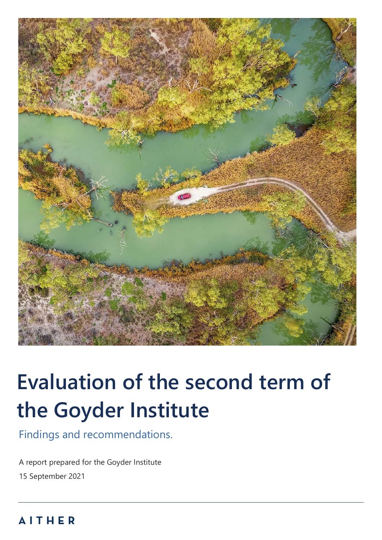

# **Evaluation of the second term of the Goyder Institute**

Findings and recommendations.

A report prepared for the Goyder Institute 15 September 2021

## *REPORT | Evaluation of the second term of the Goyder Institute* 0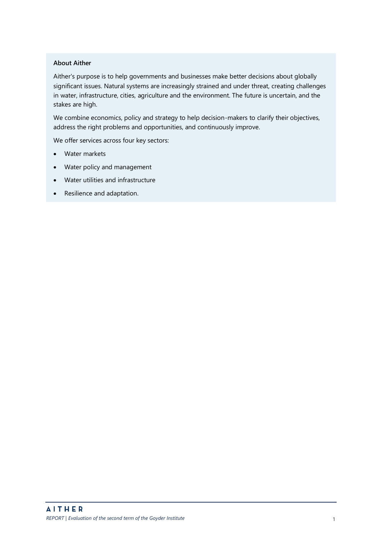#### **About Aither**

Aither's purpose is to help governments and businesses make better decisions about globally significant issues. Natural systems are increasingly strained and under threat, creating challenges in water, infrastructure, cities, agriculture and the environment. The future is uncertain, and the stakes are high.

We combine economics, policy and strategy to help decision-makers to clarify their objectives, address the right problems and opportunities, and continuously improve.

We offer services across four key sectors:

- Water markets
- Water policy and management
- Water utilities and infrastructure
- Resilience and adaptation.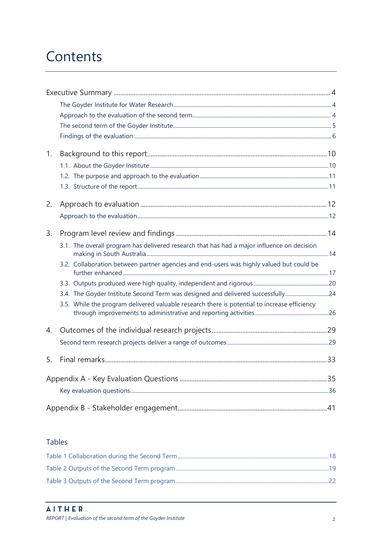## Contents

| 1.               |                                                                                              |  |
|------------------|----------------------------------------------------------------------------------------------|--|
|                  |                                                                                              |  |
|                  |                                                                                              |  |
|                  |                                                                                              |  |
| 2.               |                                                                                              |  |
|                  |                                                                                              |  |
| 3.               |                                                                                              |  |
|                  | 3.1. The overall program has delivered research that has had a major influence on decision   |  |
|                  | 3.2. Collaboration between partner agencies and end-users was highly valued but could be     |  |
|                  |                                                                                              |  |
|                  | 3.4. The Goyder Institute Second Term was designed and delivered successfully24              |  |
|                  | 3.5. While the program delivered valuable research there is potential to increase efficiency |  |
| $\overline{4}$ . |                                                                                              |  |
|                  |                                                                                              |  |
| 5.               |                                                                                              |  |
|                  |                                                                                              |  |
|                  |                                                                                              |  |
|                  |                                                                                              |  |

### **Tables**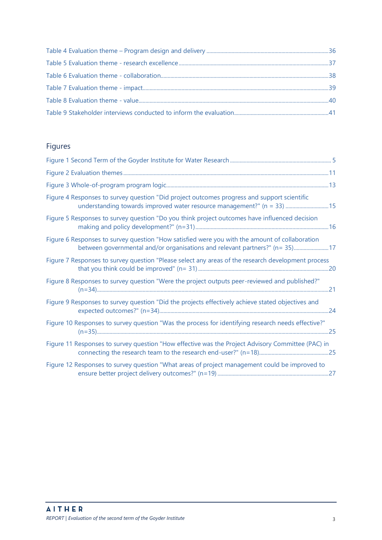## Figures

| Figure 4 Responses to survey question "Did project outcomes progress and support scientific<br>understanding towards improved water resource management?" (n = 33)  15         |  |
|--------------------------------------------------------------------------------------------------------------------------------------------------------------------------------|--|
| Figure 5 Responses to survey question "Do you think project outcomes have influenced decision                                                                                  |  |
| Figure 6 Responses to survey question "How satisfied were you with the amount of collaboration<br>between governmental and/or organisations and relevant partners?" (n= 35) 17 |  |
| Figure 7 Responses to survey question "Please select any areas of the research development process                                                                             |  |
| Figure 8 Responses to survey question "Were the project outputs peer-reviewed and published?"                                                                                  |  |
| Figure 9 Responses to survey question "Did the projects effectively achieve stated objectives and                                                                              |  |
| Figure 10 Responses to survey question "Was the process for identifying research needs effective?"                                                                             |  |
| Figure 11 Responses to survey question "How effective was the Project Advisory Committee (PAC) in                                                                              |  |
| Figure 12 Responses to survey question "What areas of project management could be improved to                                                                                  |  |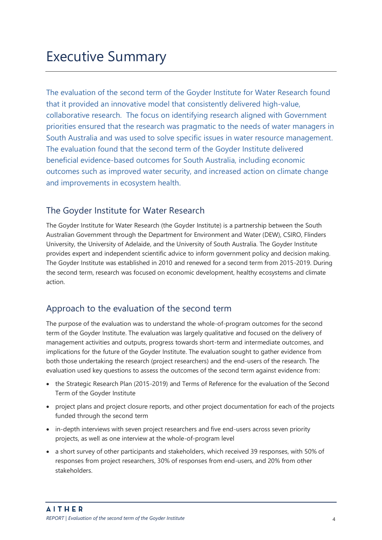<span id="page-4-0"></span>The evaluation of the second term of the Goyder Institute for Water Research found that it provided an innovative model that consistently delivered high-value, collaborative research. The focus on identifying research aligned with Government priorities ensured that the research was pragmatic to the needs of water managers in South Australia and was used to solve specific issues in water resource management. The evaluation found that the second term of the Goyder Institute delivered beneficial evidence-based outcomes for South Australia, including economic outcomes such as improved water security, and increased action on climate change and improvements in ecosystem health.

## <span id="page-4-1"></span>The Goyder Institute for Water Research

The Goyder Institute for Water Research (the Goyder Institute) is a partnership between the South Australian Government through the Department for Environment and Water (DEW), CSIRO, Flinders University, the University of Adelaide, and the University of South Australia. The Goyder Institute provides expert and independent scientific advice to inform government policy and decision making. The Goyder Institute was established in 2010 and renewed for a second term from 2015-2019. During the second term, research was focused on economic development, healthy ecosystems and climate action.

## <span id="page-4-2"></span>Approach to the evaluation of the second term

The purpose of the evaluation was to understand the whole-of-program outcomes for the second term of the Goyder Institute. The evaluation was largely qualitative and focused on the delivery of management activities and outputs, progress towards short-term and intermediate outcomes, and implications for the future of the Goyder Institute. The evaluation sought to gather evidence from both those undertaking the research (project researchers) and the end-users of the research. The evaluation used key questions to assess the outcomes of the second term against evidence from:

- the [Strategic Research Plan \(2015-2019\)](http://www.goyderinstitute.org/_r41/media/system/attrib/file/32/53631_Goyder_StrategicPlan-Final.pdf) and Terms of Reference for the evaluation of the Second Term of the Goyder Institute
- project plans and project closure reports, and other project documentation for each of the projects funded through the second term
- in-depth interviews with seven project researchers and five end-users across seven priority projects, as well as one interview at the whole-of-program level
- a short survey of other participants and stakeholders, which received 39 responses, with 50% of responses from project researchers, 30% of responses from end-users, and 20% from other stakeholders.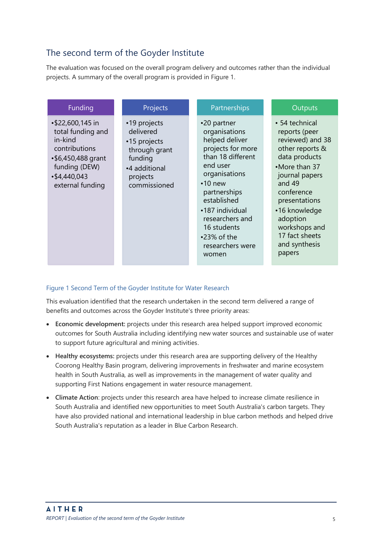## <span id="page-5-0"></span>The second term of the Goyder Institute

The evaluation was focused on the overall program delivery and outcomes rather than the individual projects. A summary of the overall program is provided i[n Figure 1.](#page-5-1) 

| Funding                                                                                                                                        | Projects                                                                                                           | Partnerships                                                                                                                                                                                                                                                                   | Outputs                                                                                                                                                                                                                                                        |
|------------------------------------------------------------------------------------------------------------------------------------------------|--------------------------------------------------------------------------------------------------------------------|--------------------------------------------------------------------------------------------------------------------------------------------------------------------------------------------------------------------------------------------------------------------------------|----------------------------------------------------------------------------------------------------------------------------------------------------------------------------------------------------------------------------------------------------------------|
| • \$22,600,145 in<br>total funding and<br>in-kind<br>contributions<br>$•$6,450,488$ grant<br>funding (DEW)<br>•\$4,440,043<br>external funding | •19 projects<br>delivered<br>•15 projects<br>through grant<br>funding<br>•4 additional<br>projects<br>commissioned | •20 partner<br>organisations<br>helped deliver<br>projects for more<br>than 18 different<br>end user<br>organisations<br>$\cdot$ 10 new<br>partnerships<br>established<br>•187 individual<br>researchers and<br>16 students<br>$\cdot$ 23% of the<br>researchers were<br>women | • 54 technical<br>reports (peer<br>reviewed) and 38<br>other reports &<br>data products<br>•More than 37<br>journal papers<br>and 49<br>conference<br>presentations<br>•16 knowledge<br>adoption<br>workshops and<br>17 fact sheets<br>and synthesis<br>papers |

#### <span id="page-5-1"></span>Figure 1 Second Term of the Goyder Institute for Water Research

This evaluation identified that the research undertaken in the second term delivered a range of benefits and outcomes across the Goyder Institute's three priority areas:

- **Economic development:** projects under this research area helped support improved economic outcomes for South Australia including identifying new water sources and sustainable use of water to support future agricultural and mining activities.
- **Healthy ecosystems:** projects under this research area are supporting delivery of the Healthy Coorong Healthy Basin program, delivering improvements in freshwater and marine ecosystem health in South Australia, as well as improvements in the management of water quality and supporting First Nations engagement in water resource management.
- **Climate Action**: projects under this research area have helped to increase climate resilience in South Australia and identified new opportunities to meet South Australia's carbon targets. They have also provided national and international leadership in blue carbon methods and helped drive South Australia's reputation as a leader in Blue Carbon Research.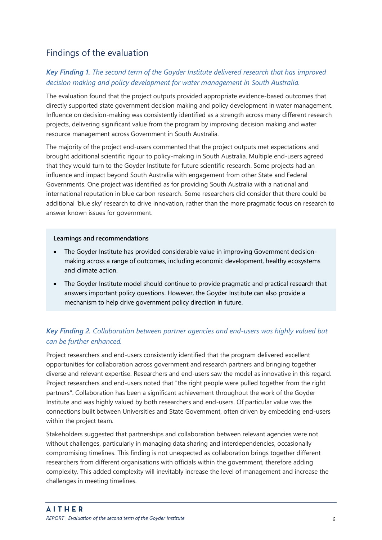## <span id="page-6-0"></span>Findings of the evaluation

#### *Key Finding 1. The second term of the Goyder Institute delivered research that has improved decision making and policy development for water management in South Australia.*

The evaluation found that the project outputs provided appropriate evidence-based outcomes that directly supported state government decision making and policy development in water management. Influence on decision-making was consistently identified as a strength across many different research projects, delivering significant value from the program by improving decision making and water resource management across Government in South Australia.

The majority of the project end-users commented that the project outputs met expectations and brought additional scientific rigour to policy-making in South Australia. Multiple end-users agreed that they would turn to the Goyder Institute for future scientific research. Some projects had an influence and impact beyond South Australia with engagement from other State and Federal Governments. One project was identified as for providing South Australia with a national and international reputation in blue carbon research. Some researchers did consider that there could be additional 'blue sky' research to drive innovation, rather than the more pragmatic focus on research to answer known issues for government.

#### **Learnings and recommendations**

- The Goyder Institute has provided considerable value in improving Government decisionmaking across a range of outcomes, including economic development, healthy ecosystems and climate action.
- The Goyder Institute model should continue to provide pragmatic and practical research that answers important policy questions. However, the Goyder Institute can also provide a mechanism to help drive government policy direction in future.

### *Key Finding 2. Collaboration between partner agencies and end-users was highly valued but can be further enhanced.*

Project researchers and end-users consistently identified that the program delivered excellent opportunities for collaboration across government and research partners and bringing together diverse and relevant expertise. Researchers and end-users saw the model as innovative in this regard. Project researchers and end-users noted that "the right people were pulled together from the right partners". Collaboration has been a significant achievement throughout the work of the Goyder Institute and was highly valued by both researchers and end-users. Of particular value was the connections built between Universities and State Government, often driven by embedding end-users within the project team.

Stakeholders suggested that partnerships and collaboration between relevant agencies were not without challenges, particularly in managing data sharing and interdependencies, occasionally compromising timelines. This finding is not unexpected as collaboration brings together different researchers from different organisations with officials within the government, therefore adding complexity. This added complexity will inevitably increase the level of management and increase the challenges in meeting timelines.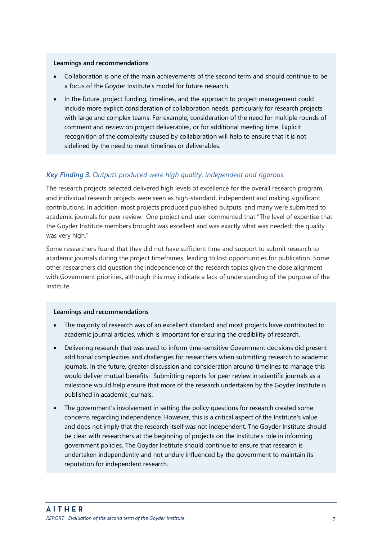#### **Learnings and recommendations**

- Collaboration is one of the main achievements of the second term and should continue to be a focus of the Goyder Institute's model for future research.
- In the future, project funding, timelines, and the approach to project management could include more explicit consideration of collaboration needs, particularly for research projects with large and complex teams. For example, consideration of the need for multiple rounds of comment and review on project deliverables, or for additional meeting time. Explicit recognition of the complexity caused by collaboration will help to ensure that it is not sidelined by the need to meet timelines or deliverables.

#### *Key Finding 3. Outputs produced were high quality, independent and rigorous.*

The research projects selected delivered high levels of excellence for the overall research program, and individual research projects were seen as high-standard, independent and making significant contributions. In addition, most projects produced published outputs, and many were submitted to academic journals for peer review. One project end-user commented that "The level of expertise that the Goyder Institute members brought was excellent and was exactly what was needed; the quality was very high."

Some researchers found that they did not have sufficient time and support to submit research to academic journals during the project timeframes, leading to lost opportunities for publication. Some other researchers did question the independence of the research topics given the close alignment with Government priorities, although this may indicate a lack of understanding of the purpose of the Institute.

#### **Learnings and recommendations**

- The majority of research was of an excellent standard and most projects have contributed to academic journal articles, which is important for ensuring the credibility of research.
- Delivering research that was used to inform time-sensitive Government decisions did present additional complexities and challenges for researchers when submitting research to academic journals. In the future, greater discussion and consideration around timelines to manage this would deliver mutual benefits. Submitting reports for peer review in scientific journals as a milestone would help ensure that more of the research undertaken by the Goyder Institute is published in academic journals.
- The government's involvement in setting the policy questions for research created some concerns regarding independence. However, this is a critical aspect of the Institute's value and does not imply that the research itself was not independent. The Goyder Institute should be clear with researchers at the beginning of projects on the Institute's role in informing government policies. The Goyder Institute should continue to ensure that research is undertaken independently and not unduly influenced by the government to maintain its reputation for independent research.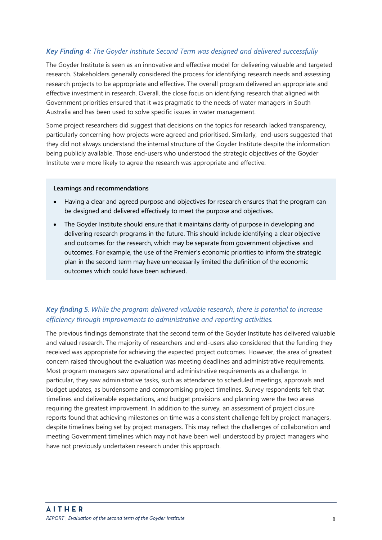#### *Key Finding 4: The Goyder Institute Second Term was designed and delivered successfully*

The Goyder Institute is seen as an innovative and effective model for delivering valuable and targeted research. Stakeholders generally considered the process for identifying research needs and assessing research projects to be appropriate and effective. The overall program delivered an appropriate and effective investment in research. Overall, the close focus on identifying research that aligned with Government priorities ensured that it was pragmatic to the needs of water managers in South Australia and has been used to solve specific issues in water management.

Some project researchers did suggest that decisions on the topics for research lacked transparency, particularly concerning how projects were agreed and prioritised. Similarly, end-users suggested that they did not always understand the internal structure of the Goyder Institute despite the information being publicly available. Those end-users who understood the strategic objectives of the Goyder Institute were more likely to agree the research was appropriate and effective.

#### **Learnings and recommendations**

- Having a clear and agreed purpose and objectives for research ensures that the program can be designed and delivered effectively to meet the purpose and objectives.
- The Goyder Institute should ensure that it maintains clarity of purpose in developing and delivering research programs in the future. This should include identifying a clear objective and outcomes for the research, which may be separate from government objectives and outcomes. For example, the use of the Premier's economic priorities to inform the strategic plan in the second term may have unnecessarily limited the definition of the economic outcomes which could have been achieved.

#### *Key finding 5. While the program delivered valuable research, there is potential to increase efficiency through improvements to administrative and reporting activities.*

The previous findings demonstrate that the second term of the Goyder Institute has delivered valuable and valued research. The majority of researchers and end-users also considered that the funding they received was appropriate for achieving the expected project outcomes. However, the area of greatest concern raised throughout the evaluation was meeting deadlines and administrative requirements. Most program managers saw operational and administrative requirements as a challenge. In particular, they saw administrative tasks, such as attendance to scheduled meetings, approvals and budget updates, as burdensome and compromising project timelines. Survey respondents felt that timelines and deliverable expectations, and budget provisions and planning were the two areas requiring the greatest improvement. In addition to the survey, an assessment of project closure reports found that achieving milestones on time was a consistent challenge felt by project managers, despite timelines being set by project managers. This may reflect the challenges of collaboration and meeting Government timelines which may not have been well understood by project managers who have not previously undertaken research under this approach.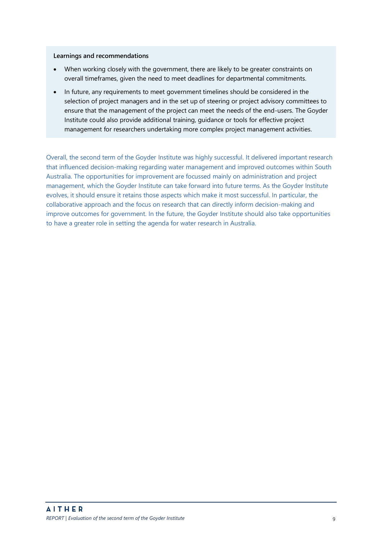#### **Learnings and recommendations**

- When working closely with the government, there are likely to be greater constraints on overall timeframes, given the need to meet deadlines for departmental commitments.
- In future, any requirements to meet government timelines should be considered in the selection of project managers and in the set up of steering or project advisory committees to ensure that the management of the project can meet the needs of the end-users. The Goyder Institute could also provide additional training, guidance or tools for effective project management for researchers undertaking more complex project management activities.

Overall, the second term of the Goyder Institute was highly successful. It delivered important research that influenced decision-making regarding water management and improved outcomes within South Australia. The opportunities for improvement are focussed mainly on administration and project management, which the Goyder Institute can take forward into future terms. As the Goyder Institute evolves, it should ensure it retains those aspects which make it most successful. In particular, the collaborative approach and the focus on research that can directly inform decision-making and improve outcomes for government. In the future, the Goyder Institute should also take opportunities to have a greater role in setting the agenda for water research in Australia.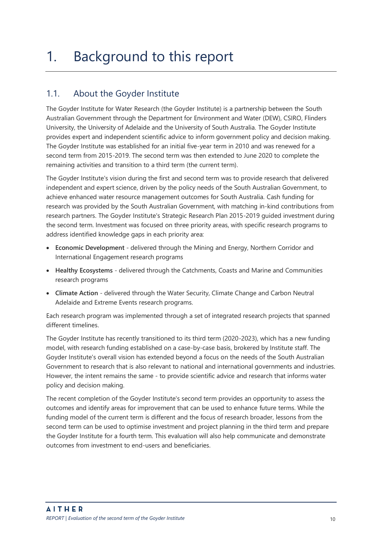## <span id="page-10-0"></span>1. Background to this report

## <span id="page-10-1"></span>1.1. About the Goyder Institute

The Goyder Institute for Water Research (the Goyder Institute) is a partnership between the South Australian Government through the Department for Environment and Water (DEW), CSIRO, Flinders University, the University of Adelaide and the University of South Australia. The Goyder Institute provides expert and independent scientific advice to inform government policy and decision making. The Goyder Institute was established for an initial five-year term in 2010 and was renewed for a second term from 2015-2019. The second term was then extended to June 2020 to complete the remaining activities and transition to a third term (the current term).

The Goyder Institute's vision during the first and second term was to provide research that delivered independent and expert science, driven by the policy needs of the South Australian Government, to achieve enhanced water resource management outcomes for South Australia. Cash funding for research was provided by the South Australian Government, with matching in-kind contributions from research partners. The Goyder Institute's [Strategic Research Plan 2015-2019](http://www.goyderinstitute.org/_r41/media/system/attrib/file/32/53631_Goyder_StrategicPlan-Final.pdf) guided investment during the second term. Investment was focused on three priority areas, with specific research programs to address identified knowledge gaps in each priority area:

- **Economic Development**  delivered through the Mining and Energy, Northern Corridor and International Engagement research programs
- **Healthy Ecosystems**  delivered through the Catchments, Coasts and Marine and Communities research programs
- **Climate Action**  delivered through the Water Security, Climate Change and Carbon Neutral Adelaide and Extreme Events research programs.

Each research program was implemented through a set of integrated research projects that spanned different timelines.

The Goyder Institute has recently transitioned to its third term (2020-2023), which has a new funding model, with research funding established on a case-by-case basis, brokered by Institute staff. The Goyder Institute's overall vision has extended beyond a focus on the needs of the South Australian Government to research that is also relevant to national and international governments and industries. However, the intent remains the same - to provide scientific advice and research that informs water policy and decision making.

The recent completion of the Goyder Institute's second term provides an opportunity to assess the outcomes and identify areas for improvement that can be used to enhance future terms. While the funding model of the current term is different and the focus of research broader, lessons from the second term can be used to optimise investment and project planning in the third term and prepare the Goyder Institute for a fourth term. This evaluation will also help communicate and demonstrate outcomes from investment to end-users and beneficiaries.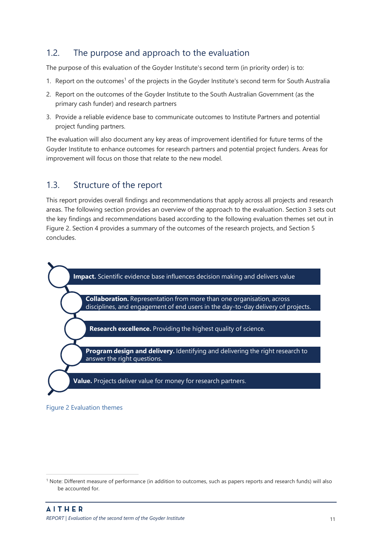### <span id="page-11-0"></span>1.2. The purpose and approach to the evaluation

The purpose of this evaluation of the Goyder Institute's second term (in priority order) is to:

- 1. Report on the outcomes<sup>1</sup> of the projects in the Goyder Institute's second term for South Australia
- 2. Report on the outcomes of the Goyder Institute to the South Australian Government (as the primary cash funder) and research partners
- 3. Provide a reliable evidence base to communicate outcomes to Institute Partners and potential project funding partners.

The evaluation will also document any key areas of improvement identified for future terms of the Goyder Institute to enhance outcomes for research partners and potential project funders. Areas for improvement will focus on those that relate to the new model.

### <span id="page-11-1"></span>1.3. Structure of the report

This report provides overall findings and recommendations that apply across all projects and research areas. The following section provides an overview of the approach to the evaluation. Section 3 sets out the key findings and recommendations based according to the following evaluation themes set out in [Figure 2.](#page-11-2) Section 4 provides a summary of the outcomes of the research projects, and Section 5 concludes.



#### <span id="page-11-2"></span>Figure 2 Evaluation themes

<sup>&</sup>lt;sup>1</sup> Note: Different measure of performance (in addition to outcomes, such as papers reports and research funds) will also be accounted for.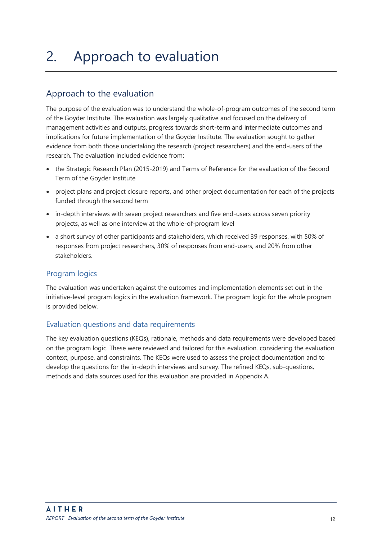## <span id="page-12-0"></span>2. Approach to evaluation

## <span id="page-12-1"></span>Approach to the evaluation

The purpose of the evaluation was to understand the whole-of-program outcomes of the second term of the Goyder Institute. The evaluation was largely qualitative and focused on the delivery of management activities and outputs, progress towards short-term and intermediate outcomes and implications for future implementation of the Goyder Institute. The evaluation sought to gather evidence from both those undertaking the research (project researchers) and the end-users of the research. The evaluation included evidence from:

- the [Strategic Research Plan \(2015-2019\)](http://www.goyderinstitute.org/_r41/media/system/attrib/file/32/53631_Goyder_StrategicPlan-Final.pdf) and Terms of Reference for the evaluation of the Second Term of the Goyder Institute
- project plans and project closure reports, and other project documentation for each of the projects funded through the second term
- in-depth interviews with seven project researchers and five end-users across seven priority projects, as well as one interview at the whole-of-program level
- a short survey of other participants and stakeholders, which received 39 responses, with 50% of responses from project researchers, 30% of responses from end-users, and 20% from other stakeholders.

#### Program logics

The evaluation was undertaken against the outcomes and implementation elements set out in the initiative-level program logics in the evaluation framework. The program logic for the whole program is provided below.

#### Evaluation questions and data requirements

The key evaluation questions (KEQs), rationale, methods and data requirements were developed based on the program logic. These were reviewed and tailored for this evaluation, considering the evaluation context, purpose, and constraints. The KEQs were used to assess the project documentation and to develop the questions for the in-depth interviews and survey. The refined KEQs, sub-questions, methods and data sources used for this evaluation are provided in Appendix A.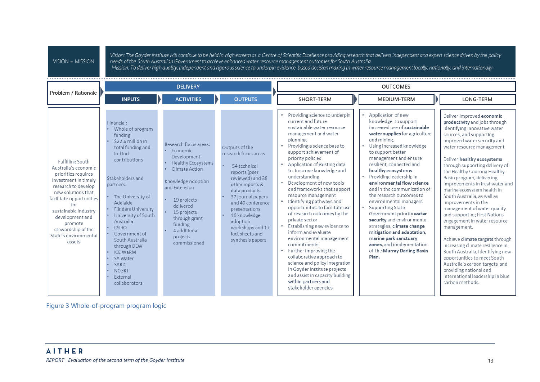| Problem / Rationale  ▶                                                                                                                                                                                                                                                                        |                                                                                                                                                                                                                                                                                                                                                                                                                              | <b>DELIVERY</b>                                                                                                                                                                                                                                                                         |                                                                                                                                                                                                                                                                                                     |                                                                                                                                                                                                                                                                                                                                                                                                                                                                                                                                                                                                                                                                                                                                                                                                                                  | <b>OUTCOMES</b>                                                                                                                                                                                                                                                                                                                                                                                                                                                                                                                                                                                                                                                              |                                                                                                                                                                                                                                                                                                                                                                                                                                                                                                                                                                                                                                                                                                                                                                                                                              |
|-----------------------------------------------------------------------------------------------------------------------------------------------------------------------------------------------------------------------------------------------------------------------------------------------|------------------------------------------------------------------------------------------------------------------------------------------------------------------------------------------------------------------------------------------------------------------------------------------------------------------------------------------------------------------------------------------------------------------------------|-----------------------------------------------------------------------------------------------------------------------------------------------------------------------------------------------------------------------------------------------------------------------------------------|-----------------------------------------------------------------------------------------------------------------------------------------------------------------------------------------------------------------------------------------------------------------------------------------------------|----------------------------------------------------------------------------------------------------------------------------------------------------------------------------------------------------------------------------------------------------------------------------------------------------------------------------------------------------------------------------------------------------------------------------------------------------------------------------------------------------------------------------------------------------------------------------------------------------------------------------------------------------------------------------------------------------------------------------------------------------------------------------------------------------------------------------------|------------------------------------------------------------------------------------------------------------------------------------------------------------------------------------------------------------------------------------------------------------------------------------------------------------------------------------------------------------------------------------------------------------------------------------------------------------------------------------------------------------------------------------------------------------------------------------------------------------------------------------------------------------------------------|------------------------------------------------------------------------------------------------------------------------------------------------------------------------------------------------------------------------------------------------------------------------------------------------------------------------------------------------------------------------------------------------------------------------------------------------------------------------------------------------------------------------------------------------------------------------------------------------------------------------------------------------------------------------------------------------------------------------------------------------------------------------------------------------------------------------------|
| <b>Fulfilling South</b><br>Australia's economic<br>priorities requires<br>investment in timely<br>research to develop<br>new solutions that<br>facilitate opportunities<br>for<br>sustainable industry<br>development and<br>promote<br>stewardship of the<br>State's environmental<br>assets | <b>INPUTS</b><br>Financial:<br>Whole of program<br>funding<br>\$22.6 million in<br>total funding and<br>in-kind<br>contributions<br>Stakeholders and<br>partners:<br>The University of<br>Adelaide<br><b>Flinders University</b><br>University of South<br>Australia<br><b>CSIRO</b><br>Government of<br>South Australia<br>through DEW<br><b>ICE WaRM</b><br>SA Water<br>SARDI<br><b>NCGRT</b><br>External<br>collaborators | <b>ACTIVITIES</b><br>Research focus areas:<br>• Economic<br>Development<br><b>Healthy Ecosystems</b><br><b>Climate Action</b><br>Knowledge Adoption<br>and Extension<br>19 projects<br>delivered<br>15 projects<br>through grant<br>funding<br>4 additional<br>projects<br>commissioned | <b>OUTPUTS</b><br>Outputs of the<br>research focus areas<br>54 technical<br>reports (peer<br>reviewed) and 38<br>other reports &<br>data products<br>37 journal papers<br>and 49 conference<br>presentations<br>16 knowledge<br>adoption<br>workshops and 17<br>fact sheets and<br>synthesis papers | <b>SHORT-TERM</b><br>Providing science to underpin<br>current and future<br>sustainable water resource<br>management and water<br>planning<br>Providing a science base to<br>support achievement of<br>priority policies<br>Application of existing data<br>to improve knowledge and<br>understanding<br>Development of new tools<br>and frameworks that support<br>resource management<br>Identifying pathways and<br>opportunities to facilitate use<br>of research outcomes by the<br>private sector<br>Establishing new evidence to<br>inform and evaluate<br>environmental management<br>commitments<br>Further improving the<br>$\bullet$<br>collaborative approach to<br>science and policy integration<br>in Goyder Institute projects<br>and assist in capacity building<br>within partners and<br>stakeholder agencies | <b>MEDIUM-TERM</b><br>Application of new<br>knowledge to support<br>increased use of sustainable<br>water supplies for agriculture<br>and mining.<br>Using increased knowledge<br>to support better<br>management and ensure<br>resilient, connected and<br>healthy ecosystems<br>Providing leadership in<br>environmental flow science<br>and in the communication of<br>the research outcomes to<br>environmental managers<br><b>Supporting State</b><br>Government priority water<br>security and environmental<br>strategies, climate change<br>mitigation and adaptation,<br>marine park sanctuary<br>zones, and implementation<br>of the Murray Darling Basin<br>Plan. | LONG-TERM<br>Deliver improved economic<br>productivity and jobs through<br>identifying innovative water<br>sources, and supporting<br>improved water security and<br>water resource management<br>Deliver healthy ecosystems<br>through supporting delivery of<br>the Healthy Coorong Healthy<br>Basin program, delivering<br>improvements in freshwater and<br>marine ecosystem health in<br>South Australia, as well as<br>improvements in the<br>management of water quality<br>and supporting First Nations<br>engagement in water resource<br>management.<br>Achieve climate targets through<br>increasing climate resilience in<br>South Australia, identifying new<br>opportunities to meet South<br>Australia's carbon targets, and<br>providing national and<br>international leadership in blue<br>carbon methods. |

Figure 3 Whole-of-program program logic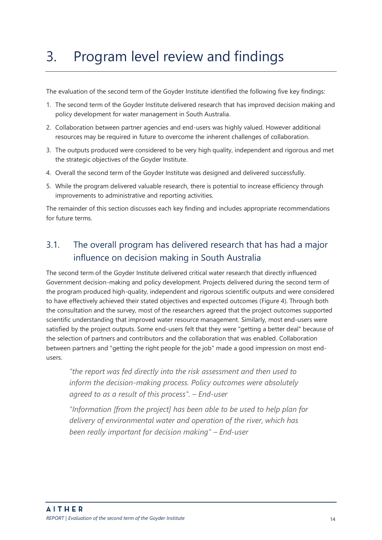## <span id="page-14-0"></span>3. Program level review and findings

The evaluation of the second term of the Goyder Institute identified the following five key findings:

- 1. The second term of the Goyder Institute delivered research that has improved decision making and policy development for water management in South Australia.
- 2. Collaboration between partner agencies and end-users was highly valued. However additional resources may be required in future to overcome the inherent challenges of collaboration.
- 3. The outputs produced were considered to be very high quality, independent and rigorous and met the strategic objectives of the Goyder Institute.
- 4. Overall the second term of the Goyder Institute was designed and delivered successfully.
- 5. While the program delivered valuable research, there is potential to increase efficiency through improvements to administrative and reporting activities.

The remainder of this section discusses each key finding and includes appropriate recommendations for future terms.

## <span id="page-14-1"></span>3.1. The overall program has delivered research that has had a major influence on decision making in South Australia

The second term of the Goyder Institute delivered critical water research that directly influenced Government decision-making and policy development. Projects delivered during the second term of the program produced high-quality, independent and rigorous scientific outputs and were considered to have effectively achieved their stated objectives and expected outcomes [\(Figure 4\)](#page-15-0). Through both the consultation and the survey, most of the researchers agreed that the project outcomes supported scientific understanding that improved water resource management. Similarly, most end-users were satisfied by the project outputs. Some end-users felt that they were "getting a better deal" because of the selection of partners and contributors and the collaboration that was enabled. Collaboration between partners and "getting the right people for the job" made a good impression on most endusers.

*"the report was fed directly into the risk assessment and then used to inform the decision-making process. Policy outcomes were absolutely agreed to as a result of this process". – End-user*

*"Information [from the project] has been able to be used to help plan for delivery of environmental water and operation of the river, which has been really important for decision making" – End-user*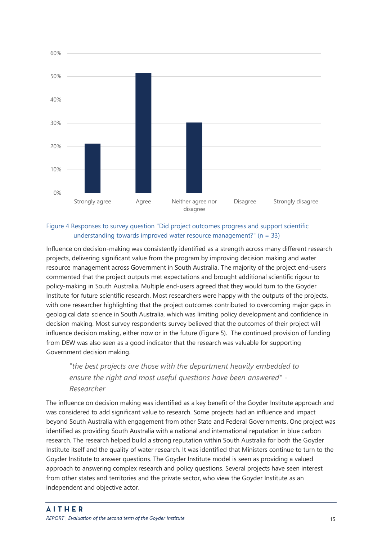

#### <span id="page-15-0"></span>Figure 4 Responses to survey question "Did project outcomes progress and support scientific understanding towards improved water resource management?"  $(n = 33)$

Influence on decision-making was consistently identified as a strength across many different research projects, delivering significant value from the program by improving decision making and water resource management across Government in South Australia. The majority of the project end-users commented that the project outputs met expectations and brought additional scientific rigour to policy-making in South Australia. Multiple end-users agreed that they would turn to the Goyder Institute for future scientific research. Most researchers were happy with the outputs of the projects, with one researcher highlighting that the project outcomes contributed to overcoming major gaps in geological data science in South Australia, which was limiting policy development and confidence in decision making. Most survey respondents survey believed that the outcomes of their project will influence decision making, either now or in the future [\(Figure 5\)](#page-16-0). The continued provision of funding from DEW was also seen as a good indicator that the research was valuable for supporting Government decision making.

### *"the best projects are those with the department heavily embedded to ensure the right and most useful questions have been answered" - Researcher*

The influence on decision making was identified as a key benefit of the Goyder Institute approach and was considered to add significant value to research. Some projects had an influence and impact beyond South Australia with engagement from other State and Federal Governments. One project was identified as providing South Australia with a national and international reputation in blue carbon research. The research helped build a strong reputation within South Australia for both the Goyder Institute itself and the quality of water research. It was identified that Ministers continue to turn to the Goyder Institute to answer questions. The Goyder Institute model is seen as providing a valued approach to answering complex research and policy questions. Several projects have seen interest from other states and territories and the private sector, who view the Goyder Institute as an independent and objective actor.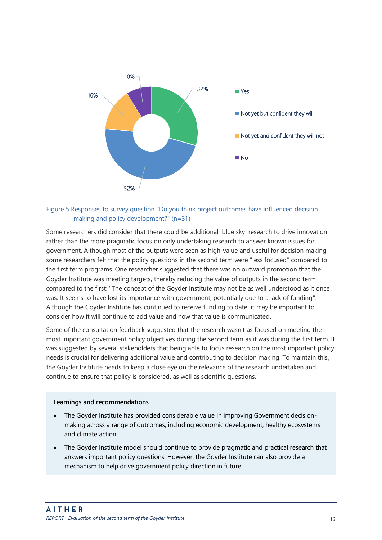

#### <span id="page-16-0"></span>Figure 5 Responses to survey question "Do you think project outcomes have influenced decision making and policy development?" (n=31)

Some researchers did consider that there could be additional 'blue sky' research to drive innovation rather than the more pragmatic focus on only undertaking research to answer known issues for government. Although most of the outputs were seen as high-value and useful for decision making, some researchers felt that the policy questions in the second term were "less focused" compared to the first term programs. One researcher suggested that there was no outward promotion that the Goyder Institute was meeting targets, thereby reducing the value of outputs in the second term compared to the first: "The concept of the Goyder Institute may not be as well understood as it once was. It seems to have lost its importance with government, potentially due to a lack of funding". Although the Goyder Institute has continued to receive funding to date, it may be important to consider how it will continue to add value and how that value is communicated.

Some of the consultation feedback suggested that the research wasn't as focused on meeting the most important government policy objectives during the second term as it was during the first term. It was suggested by several stakeholders that being able to focus research on the most important policy needs is crucial for delivering additional value and contributing to decision making. To maintain this, the Goyder Institute needs to keep a close eye on the relevance of the research undertaken and continue to ensure that policy is considered, as well as scientific questions.

#### **Learnings and recommendations**

- The Goyder Institute has provided considerable value in improving Government decisionmaking across a range of outcomes, including economic development, healthy ecosystems and climate action.
- The Goyder Institute model should continue to provide pragmatic and practical research that answers important policy questions. However, the Goyder Institute can also provide a mechanism to help drive government policy direction in future.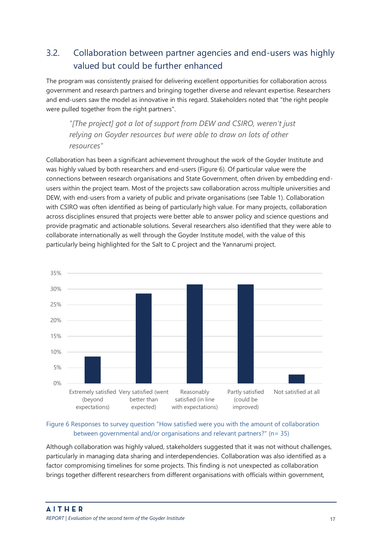## <span id="page-17-0"></span>3.2. Collaboration between partner agencies and end-users was highly valued but could be further enhanced

The program was consistently praised for delivering excellent opportunities for collaboration across government and research partners and bringing together diverse and relevant expertise. Researchers and end-users saw the model as innovative in this regard. Stakeholders noted that "the right people were pulled together from the right partners".

*"[The project] got a lot of support from DEW and CSIRO, weren't just relying on Goyder resources but were able to draw on lots of other resources"*

Collaboration has been a significant achievement throughout the work of the Goyder Institute and was highly valued by both researchers and end-users [\(Figure 6\)](#page-17-1). Of particular value were the connections between research organisations and State Government, often driven by embedding endusers within the project team. Most of the projects saw collaboration across multiple universities and DEW, with end-users from a variety of public and private organisations (see [Table 1\)](#page-18-0). Collaboration with CSIRO was often identified as being of particularly high value. For many projects, collaboration across disciplines ensured that projects were better able to answer policy and science questions and provide pragmatic and actionable solutions. Several researchers also identified that they were able to collaborate internationally as well through the Goyder Institute model, with the value of this particularly being highlighted for the Salt to C project and the Yannarumi project.



#### <span id="page-17-1"></span>Figure 6 Responses to survey question "How satisfied were you with the amount of collaboration between governmental and/or organisations and relevant partners?" (n= 35)

Although collaboration was highly valued, stakeholders suggested that it was not without challenges, particularly in managing data sharing and interdependencies. Collaboration was also identified as a factor compromising timelines for some projects. This finding is not unexpected as collaboration brings together different researchers from different organisations with officials within government,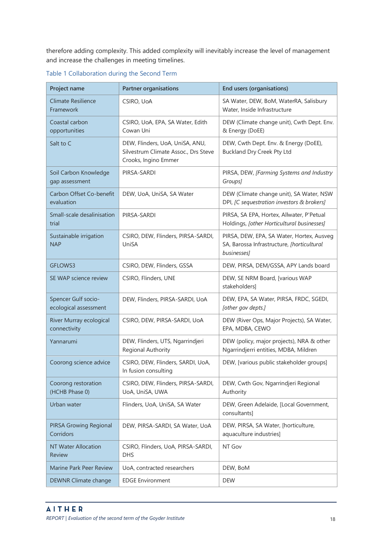therefore adding complexity. This added complexity will inevitably increase the level of management and increase the challenges in meeting timelines.

| Project name                                 | <b>Partner organisations</b>                                                                    | <b>End users (organisations)</b>                                                                       |
|----------------------------------------------|-------------------------------------------------------------------------------------------------|--------------------------------------------------------------------------------------------------------|
| <b>Climate Resilience</b><br>Framework       | CSIRO, UoA                                                                                      | SA Water, DEW, BoM, WaterRA, Salisbury<br>Water, Inside Infrastructure                                 |
| Coastal carbon<br>opportunities              | CSIRO, UoA, EPA, SA Water, Edith<br>Cowan Uni                                                   | DEW (Climate change unit), Cwth Dept. Env.<br>& Energy (DoEE)                                          |
| Salt to C                                    | DEW, Flinders, UoA, UniSA, ANU,<br>Silvestrum Climate Assoc., Drs Steve<br>Crooks, Ingino Emmer | DEW, Cwth Dept. Env. & Energy (DoEE),<br><b>Buckland Dry Creek Pty Ltd</b>                             |
| Soil Carbon Knowledge<br>gap assessment      | PIRSA-SARDI                                                                                     | PIRSA, DEW, [Farming Systems and Industry<br>Groups]                                                   |
| Carbon Offset Co-benefit<br>evaluation       | DEW, UoA, UniSA, SA Water                                                                       | DEW (Climate change unit), SA Water, NSW<br>DPI, [C sequestration investors & brokers]                 |
| Small-scale desalinisation<br>trial          | PIRSA-SARDI                                                                                     | PIRSA, SA EPA, Hortex, Allwater, P'Petual<br>Holdings, [other Horticultural businesses]                |
| Sustainable irrigation<br><b>NAP</b>         | CSIRO, DEW, Flinders, PIRSA-SARDI,<br>UniSA                                                     | PIRSA, DEW, EPA, SA Water, Hortex, Ausveg<br>SA, Barossa Infrastructure, [horticultural<br>businesses] |
| GFLOWS3                                      | CSIRO, DEW, Flinders, GSSA                                                                      | DEW, PIRSA, DEM/GSSA, APY Lands board                                                                  |
| SE WAP science review                        | CSIRO, Flinders, UNE                                                                            | DEW, SE NRM Board, [various WAP<br>stakeholders]                                                       |
| Spencer Gulf socio-<br>ecological assessment | DEW, Flinders, PIRSA-SARDI, UoA                                                                 | DEW, EPA, SA Water, PIRSA, FRDC, SGEDI,<br>[other gov depts.]                                          |
| River Murray ecological<br>connectivity      | CSIRO, DEW, PIRSA-SARDI, UoA                                                                    | DEW (River Ops, Major Projects), SA Water,<br>EPA, MDBA, CEWO                                          |
| Yannarumi                                    | DEW, Flinders, UTS, Ngarrindjeri<br>Regional Authority                                          | DEW (policy, major projects), NRA & other<br>Ngarrindjerri entities, MDBA, Mildren                     |
| Coorong science advice                       | CSIRO, DEW, Flinders, SARDI, UoA,<br>In fusion consulting                                       | DEW, [various public stakeholder groups]                                                               |
| Coorong restoration<br>(HCHB Phase 0)        | CSIRO, DEW, Flinders, PIRSA-SARDI,<br>UoA, UniSA, UWA                                           | DEW, Cwth Gov, Ngarrindjeri Regional<br>Authority                                                      |
| Urban water                                  | Flinders, UoA, UniSA, SA Water                                                                  | DEW, Green Adelaide, [Local Government,<br>consultants]                                                |
| <b>PIRSA Growing Regional</b><br>Corridors   | DEW, PIRSA-SARDI, SA Water, UoA                                                                 | DEW, PIRSA, SA Water, [horticulture,<br>aquaculture industries]                                        |
| <b>NT Water Allocation</b><br>Review         | CSIRO, Flinders, UoA, PIRSA-SARDI,<br><b>DHS</b>                                                | NT Gov                                                                                                 |
| Marine Park Peer Review                      | UoA, contracted researchers                                                                     | DEW, BoM                                                                                               |
| DEWNR Climate change                         | <b>EDGE Environment</b>                                                                         | <b>DEW</b>                                                                                             |

<span id="page-18-0"></span>Table 1 Collaboration during the Second Term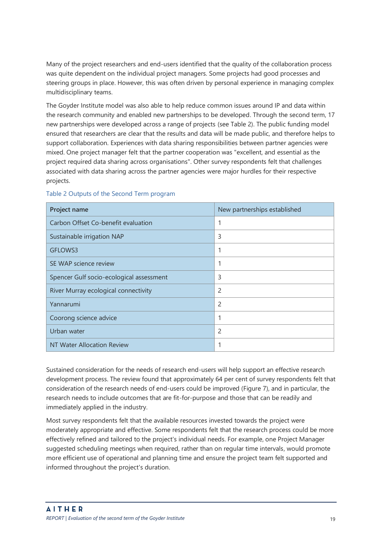Many of the project researchers and end-users identified that the quality of the collaboration process was quite dependent on the individual project managers. Some projects had good processes and steering groups in place. However, this was often driven by personal experience in managing complex multidisciplinary teams.

The Goyder Institute model was also able to help reduce common issues around IP and data within the research community and enabled new partnerships to be developed. Through the second term, 17 new partnerships were developed across a range of projects (se[e Table 2\)](#page-19-0). The public funding model ensured that researchers are clear that the results and data will be made public, and therefore helps to support collaboration. Experiences with data sharing responsibilities between partner agencies were mixed. One project manager felt that the partner cooperation was "excellent, and essential as the project required data sharing across organisations". Other survey respondents felt that challenges associated with data sharing across the partner agencies were major hurdles for their respective projects.

| Project name                             | New partnerships established |
|------------------------------------------|------------------------------|
| Carbon Offset Co-benefit evaluation      | 1                            |
| Sustainable irrigation NAP               | 3                            |
| GFLOWS3                                  |                              |
| SE WAP science review                    | 1                            |
| Spencer Gulf socio-ecological assessment | 3                            |
| River Murray ecological connectivity     | 2                            |
| Yannarumi                                | $\mathcal{P}$                |
| Coorong science advice                   | 1                            |
| Urban water                              | 2                            |
| NT Water Allocation Review               | 1                            |

#### <span id="page-19-0"></span>Table 2 Outputs of the Second Term program

Sustained consideration for the needs of research end-users will help support an effective research development process. The review found that approximately 64 per cent of survey respondents felt that consideration of the research needs of end-users could be improved [\(Figure 7\)](#page-20-1), and in particular, the research needs to include outcomes that are fit-for-purpose and those that can be readily and immediately applied in the industry.

Most survey respondents felt that the available resources invested towards the project were moderately appropriate and effective. Some respondents felt that the research process could be more effectively refined and tailored to the project's individual needs. For example, one Project Manager suggested scheduling meetings when required, rather than on regular time intervals, would promote more efficient use of operational and planning time and ensure the project team felt supported and informed throughout the project's duration.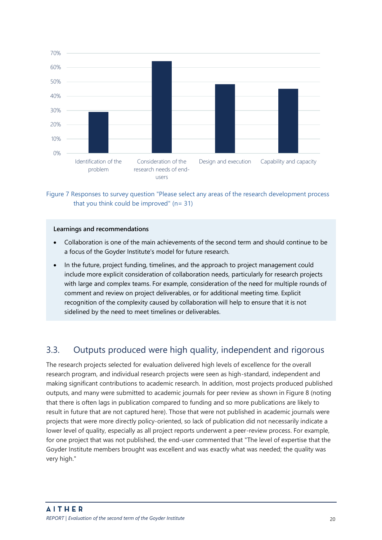

<span id="page-20-1"></span>Figure 7 Responses to survey question "Please select any areas of the research development process that you think could be improved"  $(n= 31)$ 

#### **Learnings and recommendations**

- Collaboration is one of the main achievements of the second term and should continue to be a focus of the Goyder Institute's model for future research.
- In the future, project funding, timelines, and the approach to project management could include more explicit consideration of collaboration needs, particularly for research projects with large and complex teams. For example, consideration of the need for multiple rounds of comment and review on project deliverables, or for additional meeting time. Explicit recognition of the complexity caused by collaboration will help to ensure that it is not sidelined by the need to meet timelines or deliverables.

## <span id="page-20-0"></span>3.3. Outputs produced were high quality, independent and rigorous

The research projects selected for evaluation delivered high levels of excellence for the overall research program, and individual research projects were seen as high-standard, independent and making significant contributions to academic research. In addition, most projects produced published outputs, and many were submitted to academic journals for peer review as shown i[n Figure 8](#page-21-0) (noting that there is often lags in publication compared to funding and so more publications are likely to result in future that are not captured here). Those that were not published in academic journals were projects that were more directly policy-oriented, so lack of publication did not necessarily indicate a lower level of quality, especially as all project reports underwent a peer-review process. For example, for one project that was not published, the end-user commented that "The level of expertise that the Goyder Institute members brought was excellent and was exactly what was needed; the quality was very high."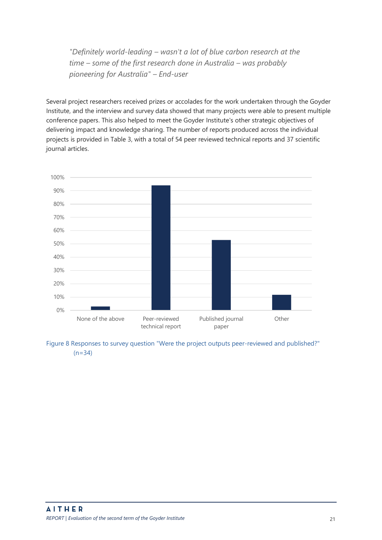*"Definitely world-leading – wasn't a lot of blue carbon research at the time – some of the first research done in Australia – was probably pioneering for Australia" – End-user*

Several project researchers received prizes or accolades for the work undertaken through the Goyder Institute, and the interview and survey data showed that many projects were able to present multiple conference papers. This also helped to meet the Goyder Institute's other strategic objectives of delivering impact and knowledge sharing. The number of reports produced across the individual projects is provided in [Table 3,](#page-22-0) with a total of 54 peer reviewed technical reports and 37 scientific journal articles.



<span id="page-21-0"></span>Figure 8 Responses to survey question "Were the project outputs peer-reviewed and published?"  $(n=34)$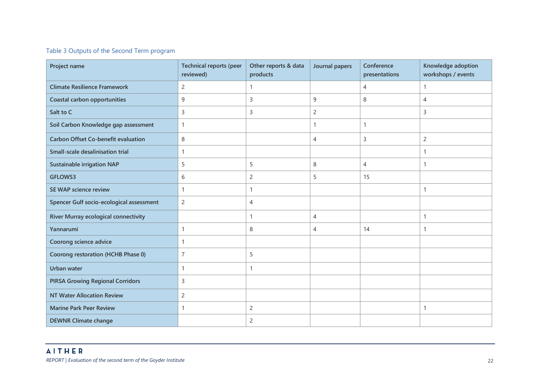#### Table 3 Outputs of the Second Term program

<span id="page-22-0"></span>

| Project name                                | <b>Technical reports (peer</b><br>reviewed) | Other reports & data<br>products | Journal papers | Conference<br>presentations | Knowledge adoption<br>workshops / events |
|---------------------------------------------|---------------------------------------------|----------------------------------|----------------|-----------------------------|------------------------------------------|
| <b>Climate Resilience Framework</b>         | $\overline{2}$                              | $\mathbf{1}$                     |                | $\overline{4}$              | $\mathbf{1}$                             |
| <b>Coastal carbon opportunities</b>         | 9                                           | 3                                | 9              | 8                           | $\overline{4}$                           |
| Salt to C                                   | 3                                           | 3                                | $\overline{c}$ |                             | 3                                        |
| Soil Carbon Knowledge gap assessment        | 1                                           |                                  | 1              | $\mathbf{1}$                |                                          |
| <b>Carbon Offset Co-benefit evaluation</b>  | 8                                           |                                  | 4              | 3                           | 2                                        |
| <b>Small-scale desalinisation trial</b>     | 1                                           |                                  |                |                             | $\mathbf{1}$                             |
| <b>Sustainable irrigation NAP</b>           | 5                                           | 5                                | 8              | $\overline{4}$              | $\mathbf{1}$                             |
| GFLOWS3                                     | 6                                           | $\overline{c}$                   | 5              | 15                          |                                          |
| <b>SE WAP science review</b>                | 1                                           | -1                               |                |                             | $\mathbf{1}$                             |
| Spencer Gulf socio-ecological assessment    | $\overline{c}$                              | 4                                |                |                             |                                          |
| <b>River Murray ecological connectivity</b> |                                             | $\mathbf{1}$                     | 4              |                             | $\mathbf{1}$                             |
| Yannarumi                                   | 1                                           | 8                                | 4              | 14                          | $\mathbf{1}$                             |
| Coorong science advice                      | 1                                           |                                  |                |                             |                                          |
| Coorong restoration (HCHB Phase 0)          | $\overline{7}$                              | 5                                |                |                             |                                          |
| <b>Urban water</b>                          | 1                                           | $\mathbf 1$                      |                |                             |                                          |
| <b>PIRSA Growing Regional Corridors</b>     | 3                                           |                                  |                |                             |                                          |
| <b>NT Water Allocation Review</b>           | $\overline{c}$                              |                                  |                |                             |                                          |
| <b>Marine Park Peer Review</b>              | 1                                           | $\overline{c}$                   |                |                             | $\mathbf{1}$                             |
| <b>DEWNR Climate change</b>                 |                                             | $\overline{c}$                   |                |                             |                                          |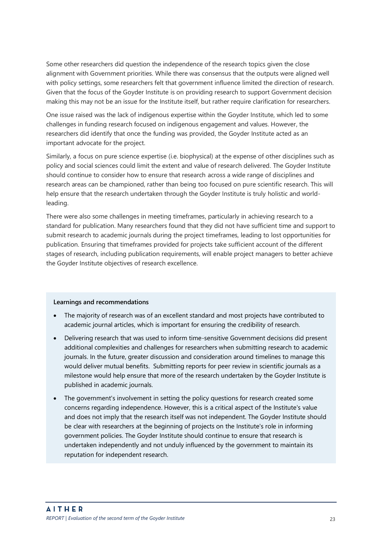Some other researchers did question the independence of the research topics given the close alignment with Government priorities. While there was consensus that the outputs were aligned well with policy settings, some researchers felt that government influence limited the direction of research. Given that the focus of the Goyder Institute is on providing research to support Government decision making this may not be an issue for the Institute itself, but rather require clarification for researchers.

One issue raised was the lack of indigenous expertise within the Goyder Institute, which led to some challenges in funding research focused on indigenous engagement and values. However, the researchers did identify that once the funding was provided, the Goyder Institute acted as an important advocate for the project.

Similarly, a focus on pure science expertise (i.e. biophysical) at the expense of other disciplines such as policy and social sciences could limit the extent and value of research delivered. The Goyder Institute should continue to consider how to ensure that research across a wide range of disciplines and research areas can be championed, rather than being too focused on pure scientific research. This will help ensure that the research undertaken through the Goyder Institute is truly holistic and worldleading.

There were also some challenges in meeting timeframes, particularly in achieving research to a standard for publication. Many researchers found that they did not have sufficient time and support to submit research to academic journals during the project timeframes, leading to lost opportunities for publication. Ensuring that timeframes provided for projects take sufficient account of the different stages of research, including publication requirements, will enable project managers to better achieve the Goyder Institute objectives of research excellence.

#### **Learnings and recommendations**

- The majority of research was of an excellent standard and most projects have contributed to academic journal articles, which is important for ensuring the credibility of research.
- Delivering research that was used to inform time-sensitive Government decisions did present additional complexities and challenges for researchers when submitting research to academic journals. In the future, greater discussion and consideration around timelines to manage this would deliver mutual benefits. Submitting reports for peer review in scientific journals as a milestone would help ensure that more of the research undertaken by the Goyder Institute is published in academic journals.
- The government's involvement in setting the policy questions for research created some concerns regarding independence. However, this is a critical aspect of the Institute's value and does not imply that the research itself was not independent. The Goyder Institute should be clear with researchers at the beginning of projects on the Institute's role in informing government policies. The Goyder Institute should continue to ensure that research is undertaken independently and not unduly influenced by the government to maintain its reputation for independent research.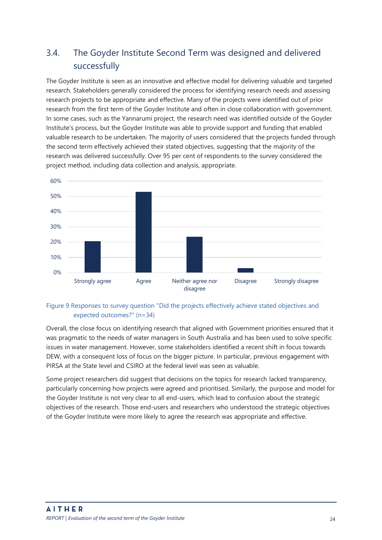## <span id="page-24-0"></span>3.4. The Goyder Institute Second Term was designed and delivered successfully

The Goyder Institute is seen as an innovative and effective model for delivering valuable and targeted research. Stakeholders generally considered the process for identifying research needs and assessing research projects to be appropriate and effective. Many of the projects were identified out of prior research from the first term of the Goyder Institute and often in close collaboration with government. In some cases, such as the Yannarumi project, the research need was identified outside of the Goyder Institute's process, but the Goyder Institute was able to provide support and funding that enabled valuable research to be undertaken. The majority of users considered that the projects funded through the second term effectively achieved their stated objectives, suggesting that the majority of the research was delivered successfully. Over 95 per cent of respondents to the survey considered the project method, including data collection and analysis, appropriate.



#### Figure 9 Responses to survey question "Did the projects effectively achieve stated objectives and expected outcomes?" (n=34)

Overall, the close focus on identifying research that aligned with Government priorities ensured that it was pragmatic to the needs of water managers in South Australia and has been used to solve specific issues in water management. However, some stakeholders identified a recent shift in focus towards DEW, with a consequent loss of focus on the bigger picture. In particular, previous engagement with PIRSA at the State level and CSIRO at the federal level was seen as valuable.

Some project researchers did suggest that decisions on the topics for research lacked transparency, particularly concerning how projects were agreed and prioritised. Similarly, the purpose and model for the Goyder Institute is not very clear to all end-users, which lead to confusion about the strategic objectives of the research. Those end-users and researchers who understood the strategic objectives of the Goyder Institute were more likely to agree the research was appropriate and effective.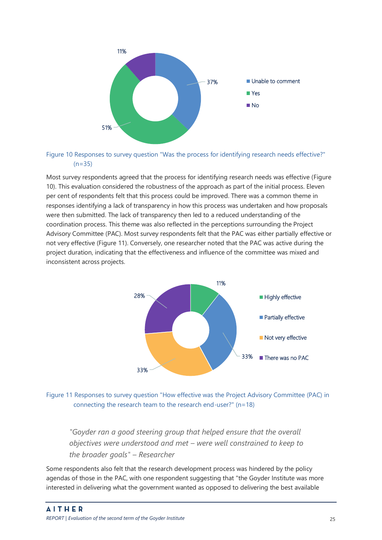

<span id="page-25-0"></span>Figure 10 Responses to survey question "Was the process for identifying research needs effective?"  $(n=35)$ 

Most survey respondents agreed that the process for identifying research needs was effective [\(Figure](#page-25-0)  [10\)](#page-25-0). This evaluation considered the robustness of the approach as part of the initial process. Eleven per cent of respondents felt that this process could be improved. There was a common theme in responses identifying a lack of transparency in how this process was undertaken and how proposals were then submitted. The lack of transparency then led to a reduced understanding of the coordination process. This theme was also reflected in the perceptions surrounding the Project Advisory Committee (PAC). Most survey respondents felt that the PAC was either partially effective or not very effective [\(Figure 11\)](#page-25-1). Conversely, one researcher noted that the PAC was active during the project duration, indicating that the effectiveness and influence of the committee was mixed and inconsistent across projects.



<span id="page-25-1"></span>

*"Goyder ran a good steering group that helped ensure that the overall objectives were understood and met – were well constrained to keep to the broader goals" – Researcher*

Some respondents also felt that the research development process was hindered by the policy agendas of those in the PAC, with one respondent suggesting that "the Goyder Institute was more interested in delivering what the government wanted as opposed to delivering the best available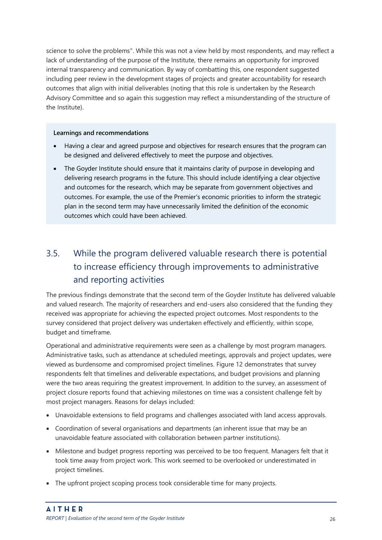science to solve the problems". While this was not a view held by most respondents, and may reflect a lack of understanding of the purpose of the Institute, there remains an opportunity for improved internal transparency and communication. By way of combatting this, one respondent suggested including peer review in the development stages of projects and greater accountability for research outcomes that align with initial deliverables (noting that this role is undertaken by the Research Advisory Committee and so again this suggestion may reflect a misunderstanding of the structure of the Institute).

#### **Learnings and recommendations**

- Having a clear and agreed purpose and objectives for research ensures that the program can be designed and delivered effectively to meet the purpose and objectives.
- The Goyder Institute should ensure that it maintains clarity of purpose in developing and delivering research programs in the future. This should include identifying a clear objective and outcomes for the research, which may be separate from government objectives and outcomes. For example, the use of the Premier's economic priorities to inform the strategic plan in the second term may have unnecessarily limited the definition of the economic outcomes which could have been achieved.

## <span id="page-26-0"></span>3.5. While the program delivered valuable research there is potential to increase efficiency through improvements to administrative and reporting activities

The previous findings demonstrate that the second term of the Goyder Institute has delivered valuable and valued research. The majority of researchers and end-users also considered that the funding they received was appropriate for achieving the expected project outcomes. Most respondents to the survey considered that project delivery was undertaken effectively and efficiently, within scope, budget and timeframe.

Operational and administrative requirements were seen as a challenge by most program managers. Administrative tasks, such as attendance at scheduled meetings, approvals and project updates, were viewed as burdensome and compromised project timelines. [Figure 12](#page-27-0) demonstrates that survey respondents felt that timelines and deliverable expectations, and budget provisions and planning were the two areas requiring the greatest improvement. In addition to the survey, an assessment of project closure reports found that achieving milestones on time was a consistent challenge felt by most project managers. Reasons for delays included:

- Unavoidable extensions to field programs and challenges associated with land access approvals.
- Coordination of several organisations and departments (an inherent issue that may be an unavoidable feature associated with collaboration between partner institutions).
- Milestone and budget progress reporting was perceived to be too frequent. Managers felt that it took time away from project work. This work seemed to be overlooked or underestimated in project timelines.
- The upfront project scoping process took considerable time for many projects.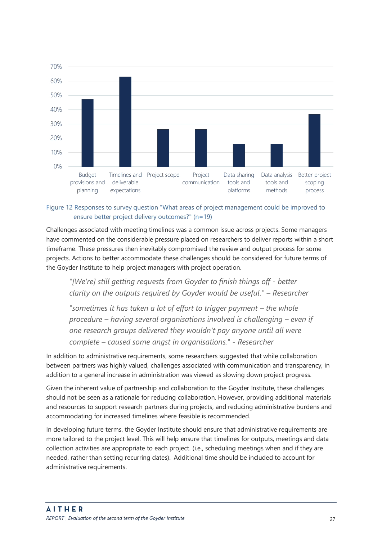

#### <span id="page-27-0"></span>Figure 12 Responses to survey question "What areas of project management could be improved to ensure better project delivery outcomes?" (n=19)

Challenges associated with meeting timelines was a common issue across projects. Some managers have commented on the considerable pressure placed on researchers to deliver reports within a short timeframe. These pressures then inevitably compromised the review and output process for some projects. Actions to better accommodate these challenges should be considered for future terms of the Goyder Institute to help project managers with project operation.

*"[We're] still getting requests from Goyder to finish things off - better clarity on the outputs required by Goyder would be useful." – Researcher*

*"sometimes it has taken a lot of effort to trigger payment – the whole procedure – having several organisations involved is challenging – even if one research groups delivered they wouldn't pay anyone until all were complete – caused some angst in organisations." - Researcher*

In addition to administrative requirements, some researchers suggested that while collaboration between partners was highly valued, challenges associated with communication and transparency, in addition to a general increase in administration was viewed as slowing down project progress.

Given the inherent value of partnership and collaboration to the Goyder Institute, these challenges should not be seen as a rationale for reducing collaboration. However, providing additional materials and resources to support research partners during projects, and reducing administrative burdens and accommodating for increased timelines where feasible is recommended.

In developing future terms, the Goyder Institute should ensure that administrative requirements are more tailored to the project level. This will help ensure that timelines for outputs, meetings and data collection activities are appropriate to each project. (i.e., scheduling meetings when and if they are needed, rather than setting recurring dates). Additional time should be included to account for administrative requirements.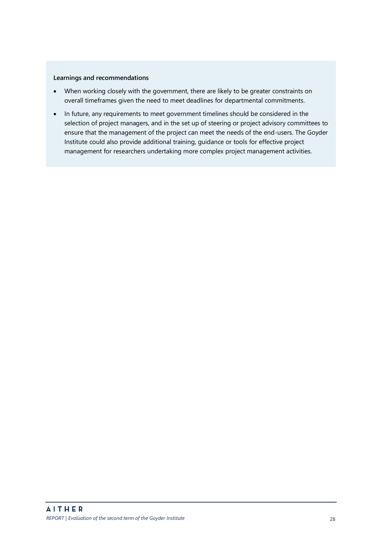#### **Learnings and recommendations**

- When working closely with the government, there are likely to be greater constraints on overall timeframes given the need to meet deadlines for departmental commitments.
- In future, any requirements to meet government timelines should be considered in the selection of project managers, and in the set up of steering or project advisory committees to ensure that the management of the project can meet the needs of the end-users. The Goyder Institute could also provide additional training, guidance or tools for effective project management for researchers undertaking more complex project management activities.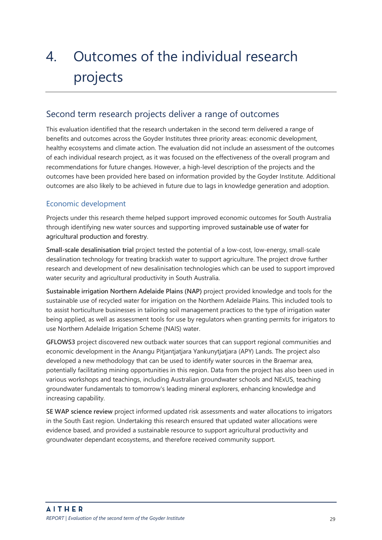## <span id="page-29-0"></span>4. Outcomes of the individual research projects

### <span id="page-29-1"></span>Second term research projects deliver a range of outcomes

This evaluation identified that the research undertaken in the second term delivered a range of benefits and outcomes across the Goyder Institutes three priority areas: economic development, healthy ecosystems and climate action. The evaluation did not include an assessment of the outcomes of each individual research project, as it was focused on the effectiveness of the overall program and recommendations for future changes. However, a high-level description of the projects and the outcomes have been provided here based on information provided by the Goyder Institute. Additional outcomes are also likely to be achieved in future due to lags in knowledge generation and adoption.

#### Economic development

Projects under this research theme helped support improved economic outcomes for South Australia through identifying new water sources and supporting improved sustainable use of water for agricultural production and forestry.

**Small-scale desalinisation trial** project tested the potential of a low-cost, low-energy, small-scale desalination technology for treating brackish water to support agriculture. The project drove further research and development of new desalinisation technologies which can be used to support improved water security and agricultural productivity in South Australia.

**Sustainable irrigation Northern Adelaide Plains (NAP)** project provided knowledge and tools for the sustainable use of recycled water for irrigation on the Northern Adelaide Plains. This included tools to to assist horticulture businesses in tailoring soil management practices to the type of irrigation water being applied, as well as assessment tools for use by regulators when granting permits for irrigators to use Northern Adelaide Irrigation Scheme (NAIS) water.

**GFLOWS3** project discovered new outback water sources that can support regional communities and economic development in the Anangu Pitjantjatjara Yankunytjatjara (APY) Lands. The project also developed a new methodology that can be used to identify water sources in the Braemar area, potentially facilitating mining opportunities in this region. Data from the project has also been used in various workshops and teachings, including Australian groundwater schools and NExUS, teaching groundwater fundamentals to tomorrow's leading mineral explorers, enhancing knowledge and increasing capability.

**SE WAP science review** project informed updated risk assessments and water allocations to irrigators in the South East region. Undertaking this research ensured that updated water allocations were evidence based, and provided a sustainable resource to support agricultural productivity and groundwater dependant ecosystems, and therefore received community support.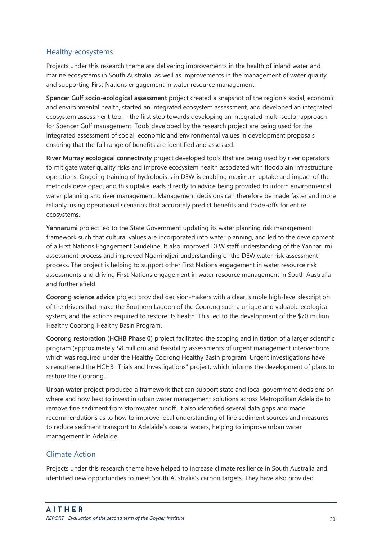#### Healthy ecosystems

Projects under this research theme are delivering improvements in the health of inland water and marine ecosystems in South Australia, as well as improvements in the management of water quality and supporting First Nations engagement in water resource management.

**Spencer Gulf socio-ecological assessment** project created a snapshot of the region's social, economic and environmental health, started an integrated ecosystem assessment, and developed an integrated ecosystem assessment tool – the first step towards developing an integrated multi-sector approach for Spencer Gulf management. Tools developed by the research project are being used for the integrated assessment of social, economic and environmental values in development proposals ensuring that the full range of benefits are identified and assessed.

**River Murray ecological connectivity** project developed tools that are being used by river operators to mitigate water quality risks and improve ecosystem health associated with floodplain infrastructure operations. Ongoing training of hydrologists in DEW is enabling maximum uptake and impact of the methods developed, and this uptake leads directly to advice being provided to inform environmental water planning and river management. Management decisions can therefore be made faster and more reliably, using operational scenarios that accurately predict benefits and trade-offs for entire ecosystems.

**Yannarumi** project led to the State Government updating its water planning risk management framework such that cultural values are incorporated into water planning, and led to the development of a First Nations Engagement Guideline. It also improved DEW staff understanding of the Yannarumi assessment process and improved Ngarrindjeri understanding of the DEW water risk assessment process. The project is helping to support other First Nations engagement in water resource risk assessments and driving First Nations engagement in water resource management in South Australia and further afield.

**Coorong science advice** project provided decision-makers with a clear, simple high-level description of the drivers that make the Southern Lagoon of the Coorong such a unique and valuable ecological system, and the actions required to restore its health. This led to the development of the \$70 million Healthy Coorong Healthy Basin Program.

**Coorong restoration (HCHB Phase 0)** project facilitated the scoping and initiation of a larger scientific program (approximately \$8 million) and feasibility assessments of urgent management interventions which was required under the Healthy Coorong Healthy Basin program. Urgent investigations have strengthened the HCHB "Trials and Investigations" project, which informs the development of plans to restore the Coorong.

**Urban water** project produced a framework that can support state and local government decisions on where and how best to invest in urban water management solutions across Metropolitan Adelaide to remove fine sediment from stormwater runoff. It also identified several data gaps and made recommendations as to how to improve local understanding of fine sediment sources and measures to reduce sediment transport to Adelaide's coastal waters, helping to improve urban water management in Adelaide.

#### Climate Action

Projects under this research theme have helped to increase climate resilience in South Australia and identified new opportunities to meet South Australia's carbon targets. They have also provided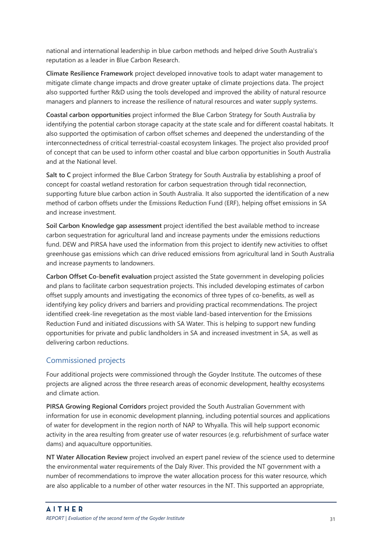national and international leadership in blue carbon methods and helped drive South Australia's reputation as a leader in Blue Carbon Research.

**Climate Resilience Framework** project developed innovative tools to adapt water management to mitigate climate change impacts and drove greater uptake of climate projections data. The project also supported further R&D using the tools developed and improved the ability of natural resource managers and planners to increase the resilience of natural resources and water supply systems.

**Coastal carbon opportunities** project informed the Blue Carbon Strategy for South Australia by identifying the potential carbon storage capacity at the state scale and for different coastal habitats. It also supported the optimisation of carbon offset schemes and deepened the understanding of the interconnectedness of critical terrestrial-coastal ecosystem linkages. The project also provided proof of concept that can be used to inform other coastal and blue carbon opportunities in South Australia and at the National level.

**Salt to C** project informed the Blue Carbon Strategy for South Australia by establishing a proof of concept for coastal wetland restoration for carbon sequestration through tidal reconnection, supporting future blue carbon action in South Australia. It also supported the identification of a new method of carbon offsets under the Emissions Reduction Fund (ERF), helping offset emissions in SA and increase investment.

**Soil Carbon Knowledge gap assessment** project identified the best available method to increase carbon sequestration for agricultural land and increase payments under the emissions reductions fund. DEW and PIRSA have used the information from this project to identify new activities to offset greenhouse gas emissions which can drive reduced emissions from agricultural land in South Australia and increase payments to landowners.

**Carbon Offset Co-benefit evaluation** project assisted the State government in developing policies and plans to facilitate carbon sequestration projects. This included developing estimates of carbon offset supply amounts and investigating the economics of three types of co-benefits, as well as identifying key policy drivers and barriers and providing practical recommendations. The project identified creek-line revegetation as the most viable land-based intervention for the Emissions Reduction Fund and initiated discussions with SA Water. This is helping to support new funding opportunities for private and public landholders in SA and increased investment in SA, as well as delivering carbon reductions.

#### Commissioned projects

Four additional projects were commissioned through the Goyder Institute. The outcomes of these projects are aligned across the three research areas of economic development, healthy ecosystems and climate action.

**PIRSA Growing Regional Corridors** project provided the South Australian Government with information for use in economic development planning, including potential sources and applications of water for development in the region north of NAP to Whyalla. This will help support economic activity in the area resulting from greater use of water resources (e.g. refurbishment of surface water dams) and aquaculture opportunities.

**NT Water Allocation Review** project involved an expert panel review of the science used to determine the environmental water requirements of the Daly River. This provided the NT government with a number of recommendations to improve the water allocation process for this water resource, which are also applicable to a number of other water resources in the NT. This supported an appropriate,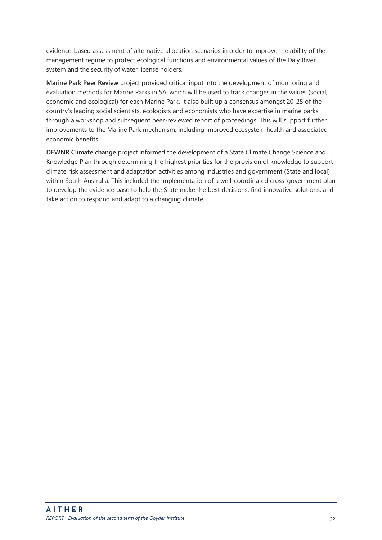evidence-based assessment of alternative allocation scenarios in order to improve the ability of the management regime to protect ecological functions and environmental values of the Daly River system and the security of water license holders.

**Marine Park Peer Review** project provided critical input into the development of monitoring and evaluation methods for Marine Parks in SA, which will be used to track changes in the values (social, economic and ecological) for each Marine Park. It also built up a consensus amongst 20-25 of the country's leading social scientists, ecologists and economists who have expertise in marine parks through a workshop and subsequent peer-reviewed report of proceedings. This will support further improvements to the Marine Park mechanism, including improved ecosystem health and associated economic benefits.

**DEWNR Climate change** project informed the development of a State Climate Change Science and Knowledge Plan through determining the highest priorities for the provision of knowledge to support climate risk assessment and adaptation activities among industries and government (State and local) within South Australia. This included the implementation of a well-coordinated cross-government plan to develop the evidence base to help the State make the best decisions, find innovative solutions, and take action to respond and adapt to a changing climate.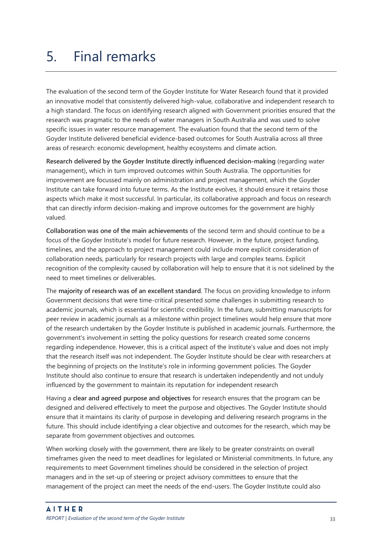## <span id="page-33-0"></span>5. Final remarks

The evaluation of the second term of the Goyder Institute for Water Research found that it provided an innovative model that consistently delivered high-value, collaborative and independent research to a high standard. The focus on identifying research aligned with Government priorities ensured that the research was pragmatic to the needs of water managers in South Australia and was used to solve specific issues in water resource management. The evaluation found that the second term of the Goyder Institute delivered beneficial evidence-based outcomes for South Australia across all three areas of research: economic development, healthy ecosystems and climate action.

**Research delivered by the Goyder Institute directly influenced decision-making** (regarding water management)**,** which in turn improved outcomes within South Australia. The opportunities for improvement are focussed mainly on administration and project management, which the Goyder Institute can take forward into future terms. As the Institute evolves, it should ensure it retains those aspects which make it most successful. In particular, its collaborative approach and focus on research that can directly inform decision-making and improve outcomes for the government are highly valued.

**Collaboration was one of the main achievements** of the second term and should continue to be a focus of the Goyder Institute's model for future research. However, in the future, project funding, timelines, and the approach to project management could include more explicit consideration of collaboration needs, particularly for research projects with large and complex teams. Explicit recognition of the complexity caused by collaboration will help to ensure that it is not sidelined by the need to meet timelines or deliverables.

The **majority of research was of an excellent standard**. The focus on providing knowledge to inform Government decisions that were time-critical presented some challenges in submitting research to academic journals, which is essential for scientific credibility. In the future, submitting manuscripts for peer review in academic journals as a milestone within project timelines would help ensure that more of the research undertaken by the Goyder Institute is published in academic journals. Furthermore, the government's involvement in setting the policy questions for research created some concerns regarding independence. However, this is a critical aspect of the Institute's value and does not imply that the research itself was not independent. The Goyder Institute should be clear with researchers at the beginning of projects on the Institute's role in informing government policies. The Goyder Institute should also continue to ensure that research is undertaken independently and not unduly influenced by the government to maintain its reputation for independent research

Having a **clear and agreed purpose and objectives** for research ensures that the program can be designed and delivered effectively to meet the purpose and objectives. The Goyder Institute should ensure that it maintains its clarity of purpose in developing and delivering research programs in the future. This should include identifying a clear objective and outcomes for the research, which may be separate from government objectives and outcomes.

When working closely with the government, there are likely to be greater constraints on overall timeframes given the need to meet deadlines for legislated or Ministerial commitments. In future, any requirements to meet Government timelines should be considered in the selection of project managers and in the set-up of steering or project advisory committees to ensure that the management of the project can meet the needs of the end-users. The Goyder Institute could also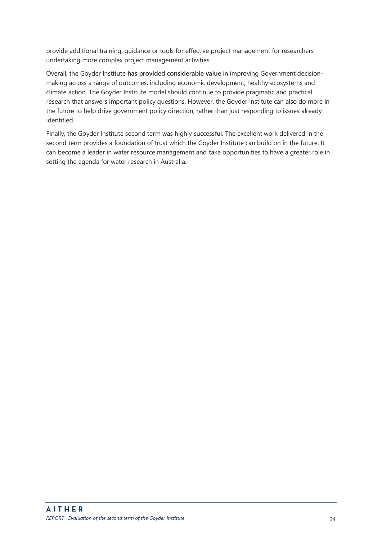provide additional training, guidance or tools for effective project management for researchers undertaking more complex project management activities.

Overall, the Goyder Institute **has provided considerable value** in improving Government decisionmaking across a range of outcomes, including economic development, healthy ecosystems and climate action. The Goyder Institute model should continue to provide pragmatic and practical research that answers important policy questions. However, the Goyder Institute can also do more in the future to help drive government policy direction, rather than just responding to issues already identified.

Finally, the Goyder Institute second term was highly successful. The excellent work delivered in the second term provides a foundation of trust which the Goyder Institute can build on in the future. It can become a leader in water resource management and take opportunities to have a greater role in setting the agenda for water research in Australia.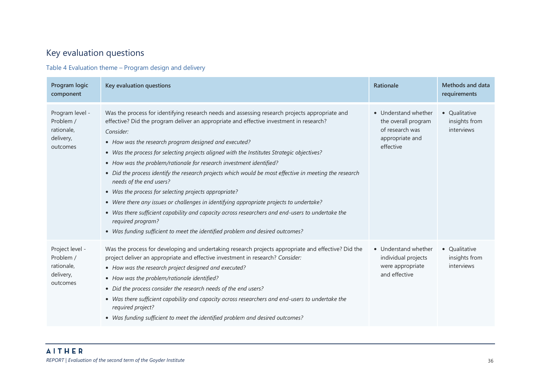## Key evaluation questions

Table 4 Evaluation theme – Program design and delivery

<span id="page-36-0"></span>

| Program logic<br>component                                          | Key evaluation questions                                                                                                                                                                                                                                                                                                                                                                                                                                                                                                                                                                                                                                                                                                                                                                                                                                                                                                                | <b>Rationale</b>                                                                               | Methods and data<br>requirements             |
|---------------------------------------------------------------------|-----------------------------------------------------------------------------------------------------------------------------------------------------------------------------------------------------------------------------------------------------------------------------------------------------------------------------------------------------------------------------------------------------------------------------------------------------------------------------------------------------------------------------------------------------------------------------------------------------------------------------------------------------------------------------------------------------------------------------------------------------------------------------------------------------------------------------------------------------------------------------------------------------------------------------------------|------------------------------------------------------------------------------------------------|----------------------------------------------|
| Program level -<br>Problem /<br>rationale,<br>delivery,<br>outcomes | Was the process for identifying research needs and assessing research projects appropriate and<br>effective? Did the program deliver an appropriate and effective investment in research?<br>Consider:<br>• How was the research program designed and executed?<br>• Was the process for selecting projects aligned with the Institutes Strategic objectives?<br>• How was the problem/rationale for research investment identified?<br>• Did the process identify the research projects which would be most effective in meeting the research<br>needs of the end users?<br>• Was the process for selecting projects appropriate?<br>• Were there any issues or challenges in identifying appropriate projects to undertake?<br>• Was there sufficient capability and capacity across researchers and end-users to undertake the<br>required program?<br>• Was funding sufficient to meet the identified problem and desired outcomes? | • Understand whether<br>the overall program<br>of research was<br>appropriate and<br>effective | • Qualitative<br>insights from<br>interviews |
| Project level -<br>Problem /<br>rationale,<br>delivery,<br>outcomes | Was the process for developing and undertaking research projects appropriate and effective? Did the<br>project deliver an appropriate and effective investment in research? Consider:<br>• How was the research project designed and executed?<br>• How was the problem/rationale identified?<br>• Did the process consider the research needs of the end users?<br>• Was there sufficient capability and capacity across researchers and end-users to undertake the<br>required project?<br>• Was funding sufficient to meet the identified problem and desired outcomes?                                                                                                                                                                                                                                                                                                                                                              | • Understand whether<br>individual projects<br>were appropriate<br>and effective               | • Qualitative<br>insights from<br>interviews |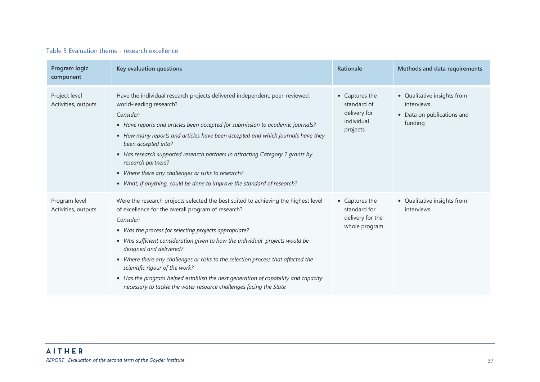#### Table 5 Evaluation theme - research excellence

| Program logic<br>component             | Key evaluation questions                                                                                                                                                                                                                                                                                                                                                                                                                                                                                                                                                                                   | Rationale                                                               | Methods and data requirements                                                      |
|----------------------------------------|------------------------------------------------------------------------------------------------------------------------------------------------------------------------------------------------------------------------------------------------------------------------------------------------------------------------------------------------------------------------------------------------------------------------------------------------------------------------------------------------------------------------------------------------------------------------------------------------------------|-------------------------------------------------------------------------|------------------------------------------------------------------------------------|
| Project level -<br>Activities, outputs | Have the individual research projects delivered independent, peer-reviewed,<br>world-leading research?<br>Consider:<br>• Have reports and articles been accepted for submission to academic journals?<br>• How many reports and articles have been accepted and which journals have they<br>been accepted into?<br>• Has research supported research partners in attracting Category 1 grants by<br>research partners?<br>• Where there any challenges or risks to research?<br>• What, if anything, could be done to improve the standard of research?                                                    | • Captures the<br>standard of<br>delivery for<br>individual<br>projects | • Qualitative insights from<br>interviews<br>• Data on publications and<br>funding |
| Program level -<br>Activities, outputs | Were the research projects selected the best suited to achieving the highest level<br>of excellence for the overall program of research?<br>Consider:<br>• Was the process for selecting projects appropriate?<br>• Was sufficient consideration given to how the individual projects would be<br>designed and delivered?<br>• Where there any challenges or risks to the selection process that affected the<br>scientific rigour of the work?<br>• Has the program helped establish the next generation of capability and capacity<br>necessary to tackle the water resource challenges facing the State | • Captures the<br>standard for<br>delivery for the<br>whole program     | • Qualitative insights from<br>interviews                                          |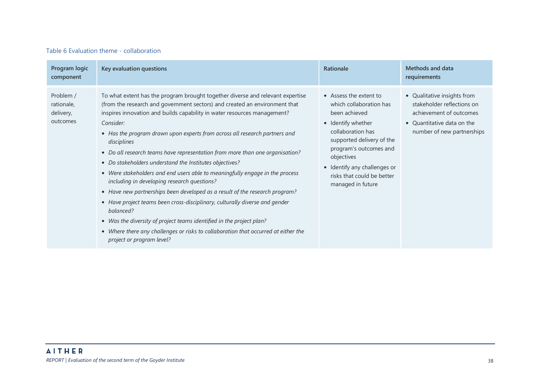#### Table 6 Evaluation theme - collaboration

| Program logic<br>component                       | Key evaluation questions                                                                                                                                                                                                                                                                                                                                                                                                                                                                                                                                                                                                                                                                                                                                                                                                                                                                                                                                                                           | Rationale                                                                                                                                                                                                                                                             | Methods and data<br>requirements                                                                                                                 |
|--------------------------------------------------|----------------------------------------------------------------------------------------------------------------------------------------------------------------------------------------------------------------------------------------------------------------------------------------------------------------------------------------------------------------------------------------------------------------------------------------------------------------------------------------------------------------------------------------------------------------------------------------------------------------------------------------------------------------------------------------------------------------------------------------------------------------------------------------------------------------------------------------------------------------------------------------------------------------------------------------------------------------------------------------------------|-----------------------------------------------------------------------------------------------------------------------------------------------------------------------------------------------------------------------------------------------------------------------|--------------------------------------------------------------------------------------------------------------------------------------------------|
| Problem /<br>rationale,<br>delivery,<br>outcomes | To what extent has the program brought together diverse and relevant expertise<br>(from the research and government sectors) and created an environment that<br>inspires innovation and builds capability in water resources management?<br>Consider:<br>• Has the program drawn upon experts from across all research partners and<br>disciplines<br>• Do all research teams have representation from more than one organisation?<br>• Do stakeholders understand the Institutes objectives?<br>• Were stakeholders and end users able to meaningfully engage in the process<br>including in developing research questions?<br>• Have new partnerships been developed as a result of the research program?<br>• Have project teams been cross-disciplinary, culturally diverse and gender<br>balanced?<br>• Was the diversity of project teams identified in the project plan?<br>• Where there any challenges or risks to collaboration that occurred at either the<br>project or program level? | • Assess the extent to<br>which collaboration has<br>been achieved<br>• Identify whether<br>collaboration has<br>supported delivery of the<br>program's outcomes and<br>objectives<br>• Identify any challenges or<br>risks that could be better<br>managed in future | • Qualitative insights from<br>stakeholder reflections on<br>achievement of outcomes<br>• Quantitative data on the<br>number of new partnerships |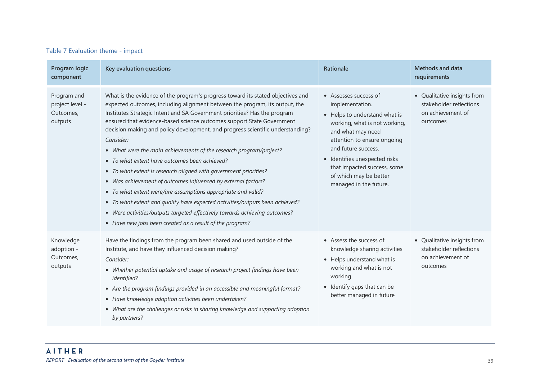#### Table 7 Evaluation theme - impact

| Program logic<br>component                             | Key evaluation questions                                                                                                                                                                                                                                                                                                                                                                                                                                                                                                                                                                                                                                                                                                                                                                                                                                                                                                                                                  | Rationale                                                                                                                                                                                                                                                                                                 | Methods and data<br>requirements                                                        |
|--------------------------------------------------------|---------------------------------------------------------------------------------------------------------------------------------------------------------------------------------------------------------------------------------------------------------------------------------------------------------------------------------------------------------------------------------------------------------------------------------------------------------------------------------------------------------------------------------------------------------------------------------------------------------------------------------------------------------------------------------------------------------------------------------------------------------------------------------------------------------------------------------------------------------------------------------------------------------------------------------------------------------------------------|-----------------------------------------------------------------------------------------------------------------------------------------------------------------------------------------------------------------------------------------------------------------------------------------------------------|-----------------------------------------------------------------------------------------|
| Program and<br>project level -<br>Outcomes,<br>outputs | What is the evidence of the program's progress toward its stated objectives and<br>expected outcomes, including alignment between the program, its output, the<br>Institutes Strategic Intent and SA Government priorities? Has the program<br>ensured that evidence-based science outcomes support State Government<br>decision making and policy development, and progress scientific understanding?<br>Consider:<br>• What were the main achievements of the research program/project?<br>• To what extent have outcomes been achieved?<br>• To what extent is research aligned with government priorities?<br>• Was achievement of outcomes influenced by external factors?<br>• To what extent were/are assumptions appropriate and valid?<br>• To what extent and quality have expected activities/outputs been achieved?<br>• Were activities/outputs targeted effectively towards achieving outcomes?<br>• Have new jobs been created as a result of the program? | • Assesses success of<br>implementation.<br>• Helps to understand what is<br>working, what is not working,<br>and what may need<br>attention to ensure ongoing<br>and future success.<br>· Identifies unexpected risks<br>that impacted success, some<br>of which may be better<br>managed in the future. | • Qualitative insights from<br>stakeholder reflections<br>on achievement of<br>outcomes |
| Knowledge<br>adoption -<br>Outcomes,<br>outputs        | Have the findings from the program been shared and used outside of the<br>Institute, and have they influenced decision making?<br>Consider:<br>• Whether potential uptake and usage of research project findings have been<br>identified?<br>• Are the program findings provided in an accessible and meaningful format?<br>• Have knowledge adoption activities been undertaken?<br>• What are the challenges or risks in sharing knowledge and supporting adoption<br>by partners?                                                                                                                                                                                                                                                                                                                                                                                                                                                                                      | • Assess the success of<br>knowledge sharing activities<br>• Helps understand what is<br>working and what is not<br>working<br>• Identify gaps that can be<br>better managed in future                                                                                                                    | • Qualitative insights from<br>stakeholder reflections<br>on achievement of<br>outcomes |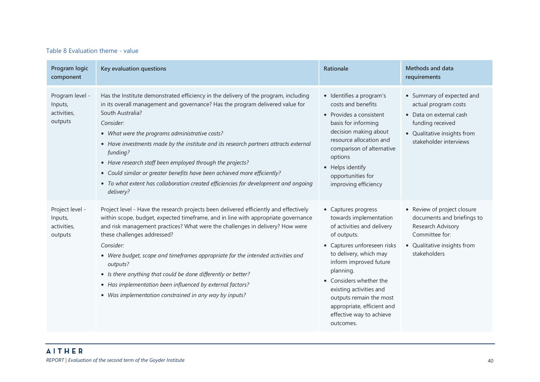#### Table 8 Evaluation theme - value

| Program logic<br>component                           | Key evaluation questions                                                                                                                                                                                                                                                                                                                                                                                                                                                                                                                                                                                 | Rationale                                                                                                                                                                                                                                                                                                                                          | Methods and data<br>requirements                                                                                                                          |
|------------------------------------------------------|----------------------------------------------------------------------------------------------------------------------------------------------------------------------------------------------------------------------------------------------------------------------------------------------------------------------------------------------------------------------------------------------------------------------------------------------------------------------------------------------------------------------------------------------------------------------------------------------------------|----------------------------------------------------------------------------------------------------------------------------------------------------------------------------------------------------------------------------------------------------------------------------------------------------------------------------------------------------|-----------------------------------------------------------------------------------------------------------------------------------------------------------|
| Program level -<br>Inputs,<br>activities,<br>outputs | Has the Institute demonstrated efficiency in the delivery of the program, including<br>in its overall management and governance? Has the program delivered value for<br>South Australia?<br>Consider:<br>• What were the programs administrative costs?<br>• Have investments made by the institute and its research partners attracts external<br>funding?<br>• Have research staff been employed through the projects?<br>• Could similar or greater benefits have been achieved more efficiently?<br>• To what extent has collaboration created efficiencies for development and ongoing<br>delivery? | · Identifies a program's<br>costs and benefits<br>• Provides a consistent<br>basis for informing<br>decision making about<br>resource allocation and<br>comparison of alternative<br>options<br>• Helps identify<br>opportunities for<br>improving efficiency                                                                                      | • Summary of expected and<br>actual program costs<br>• Data on external cash<br>funding received<br>• Qualitative insights from<br>stakeholder interviews |
| Project level -<br>Inputs,<br>activities,<br>outputs | Project level - Have the research projects been delivered efficiently and effectively<br>within scope, budget, expected timeframe, and in line with appropriate governance<br>and risk management practices? What were the challenges in delivery? How were<br>these challenges addressed?<br>Consider:<br>• Were budget, scope and timeframes appropriate for the intended activities and<br>outputs?<br>• Is there anything that could be done differently or better?<br>• Has implementation been influenced by external factors?<br>• Was implementation constrained in any way by inputs?           | • Captures progress<br>towards implementation<br>of activities and delivery<br>of outputs.<br>• Captures unforeseen risks<br>to delivery, which may<br>inform improved future<br>planning.<br>• Considers whether the<br>existing activities and<br>outputs remain the most<br>appropriate, efficient and<br>effective way to achieve<br>outcomes. | • Review of project closure<br>documents and briefings to<br>Research Advisory<br>Committee for:<br>• Qualitative insights from<br>stakeholders           |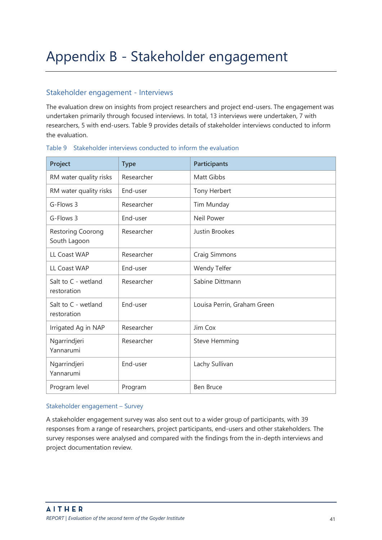## <span id="page-41-0"></span>Appendix B - Stakeholder engagement

#### Stakeholder engagement - Interviews

The evaluation drew on insights from project researchers and project end-users. The engagement was undertaken primarily through focused interviews. In total, 13 interviews were undertaken, 7 with researchers, 5 with end-users. [Table 9](#page-41-1) provides details of stakeholder interviews conducted to inform the evaluation.

| Project                            | <b>Type</b> | <b>Participants</b>         |
|------------------------------------|-------------|-----------------------------|
| RM water quality risks             | Researcher  | <b>Matt Gibbs</b>           |
| RM water quality risks             | End-user    | Tony Herbert                |
| G-Flows 3                          | Researcher  | Tim Munday                  |
| G-Flows 3                          | End-user    | Neil Power                  |
| Restoring Coorong<br>South Lagoon  | Researcher  | Justin Brookes              |
| <b>LL Coast WAP</b>                | Researcher  | Craig Simmons               |
| <b>LL Coast WAP</b>                | End-user    | Wendy Telfer                |
| Salt to C - wetland<br>restoration | Researcher  | Sabine Dittmann             |
| Salt to C - wetland<br>restoration | End-user    | Louisa Perrin, Graham Green |
| Irrigated Ag in NAP                | Researcher  | Jim Cox                     |
| Ngarrindjeri<br>Yannarumi          | Researcher  | <b>Steve Hemming</b>        |
| Ngarrindjeri<br>Yannarumi          | End-user    | Lachy Sullivan              |
| Program level                      | Program     | <b>Ben Bruce</b>            |

#### <span id="page-41-1"></span>Table 9 Stakeholder interviews conducted to inform the evaluation

#### Stakeholder engagement – Survey

A stakeholder engagement survey was also sent out to a wider group of participants, with 39 responses from a range of researchers, project participants, end-users and other stakeholders. The survey responses were analysed and compared with the findings from the in-depth interviews and project documentation review.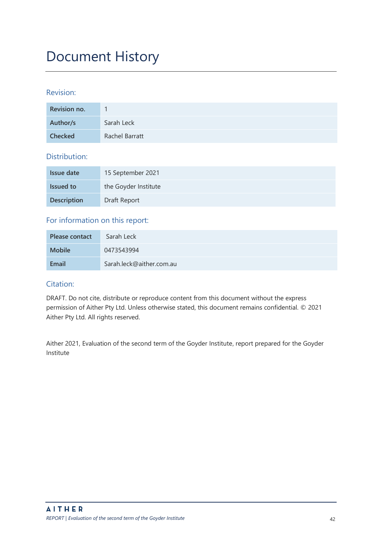## Document History

#### Revision:

| Revision no.   |                |
|----------------|----------------|
| Author/s       | Sarah Leck     |
| <b>Checked</b> | Rachel Barratt |

#### Distribution:

| Issue date         | 15 September 2021    |
|--------------------|----------------------|
| <b>Issued to</b>   | the Goyder Institute |
| <b>Description</b> | Draft Report         |

#### For information on this report:

| Please contact | Sarah Leck               |
|----------------|--------------------------|
| <b>Mobile</b>  | 0473543994               |
| Email          | Sarah.leck@aither.com.au |

#### Citation:

DRAFT. Do not cite, distribute or reproduce content from this document without the express permission of Aither Pty Ltd. Unless otherwise stated, this document remains confidential. © 2021 Aither Pty Ltd. All rights reserved.

Aither 2021, Evaluation of the second term of the Goyder Institute, report prepared for the Goyder Institute